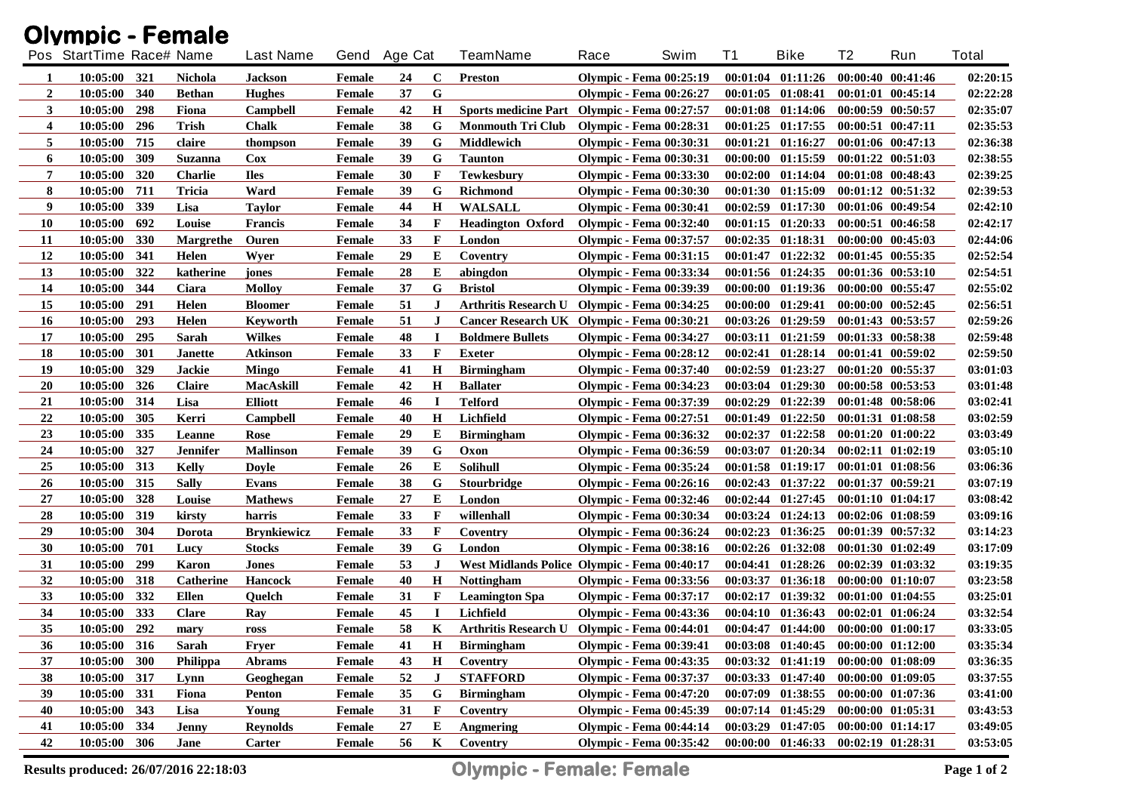| <b>Olympic - Female</b> |                          |     |                  |                    |               |    |             |                                                |                                |      |    |                                             |                   |                       |              |
|-------------------------|--------------------------|-----|------------------|--------------------|---------------|----|-------------|------------------------------------------------|--------------------------------|------|----|---------------------------------------------|-------------------|-----------------------|--------------|
|                         | Pos StartTime Race# Name |     |                  | <b>Last Name</b>   | Gend Age Cat  |    |             | <b>TeamName</b>                                | Race                           | Swim | T1 | <b>Bike</b>                                 | T2                | Run                   | <b>Total</b> |
| 1                       | 10:05:00 321             |     | <b>Nichola</b>   | <b>Jackson</b>     | Female        | 24 | $\mathbf C$ | Preston                                        | <b>Olympic - Fema 00:25:19</b> |      |    | $00:01:04$ $01:11:26$                       |                   | 00:00:40 00:41:46     | 02:20:15     |
| 2                       | 10:05:00                 | 340 | <b>Bethan</b>    | <b>Hughes</b>      | <b>Female</b> | 37 | G           |                                                | <b>Olympic - Fema 00:26:27</b> |      |    | $00:01:05$ $01:08:41$                       |                   | 00:01:01 00:45:14     | 02:22:28     |
| 3                       | 10:05:00                 | 298 | Fiona            | <b>Campbell</b>    | <b>Female</b> | 42 | $\mathbf H$ | Sports medicine Part Olympic - Fema 00:27:57   |                                |      |    | 00:01:08 01:14:06                           |                   | 00:00:59 00:50:57     | 02:35:07     |
| 4                       | 10:05:00                 | 296 | <b>Trish</b>     | <b>Chalk</b>       | <b>Female</b> | 38 | G           | <b>Monmouth Tri Club</b>                       | <b>Olympic - Fema 00:28:31</b> |      |    | $00:01:25$ $01:17:55$                       |                   | 00:00:51 00:47:11     | 02:35:53     |
| 5                       | 10:05:00                 | 715 | claire           | thompson           | Female        | 39 | G           | Middlewich                                     | <b>Olympic - Fema 00:30:31</b> |      |    | $00:01:21$ $01:16:27$                       |                   | 00:01:06 00:47:13     | 02:36:38     |
| 6                       | 10:05:00                 | 309 | Suzanna          | Cox                | Female        | 39 | G           | <b>Taunton</b>                                 | <b>Olympic - Fema 00:30:31</b> |      |    | $00:00:00$ $01:15:59$                       |                   | $00:01:22$ $00:51:03$ | 02:38:55     |
| 7                       | 10:05:00                 | 320 | <b>Charlie</b>   | <b>Iles</b>        | <b>Female</b> | 30 | F           | <b>Tewkesbury</b>                              | <b>Olympic - Fema 00:33:30</b> |      |    | $00:02:00$ $01:14:04$                       |                   | 00:01:08 00:48:43     | 02:39:25     |
| 8                       | 10:05:00                 | 711 | <b>Tricia</b>    | Ward               | <b>Female</b> | 39 | G           | Richmond                                       | <b>Olympic - Fema 00:30:30</b> |      |    | $00:01:30$ $01:15:09$                       |                   | $00:01:12$ $00:51:32$ | 02:39:53     |
| 9                       | 10:05:00                 | 339 | Lisa             | <b>Taylor</b>      | Female        | 44 | $\mathbf H$ | <b>WALSALL</b>                                 | <b>Olympic - Fema 00:30:41</b> |      |    | $00:02:59$ $01:17:30$                       |                   | 00:01:06 00:49:54     | 02:42:10     |
| <b>10</b>               | 10:05:00                 | 692 | Louise           | <b>Francis</b>     | Female        | 34 | F           | <b>Headington Oxford</b>                       | <b>Olympic - Fema 00:32:40</b> |      |    | $00:01:15$ $01:20:33$                       |                   | 00:00:51 00:46:58     | 02:42:17     |
| 11                      | 10:05:00                 | 330 | <b>Margrethe</b> | Ouren              | <b>Female</b> | 33 | F           | London                                         | <b>Olympic - Fema 00:37:57</b> |      |    | $00:02:35$ $01:18:31$                       |                   | $00:00:00$ $00:45:03$ | 02:44:06     |
| 12                      | 10:05:00                 | 341 | Helen            | Wyer               | Female        | 29 | E           | Coventry                                       | <b>Olympic - Fema 00:31:15</b> |      |    | $00:01:47$ $01:22:32$                       |                   | $00:01:45$ $00:55:35$ | 02:52:54     |
| 13                      | 10:05:00                 | 322 | katherine        | jones              | <b>Female</b> | 28 | E           | abingdon                                       | <b>Olympic - Fema 00:33:34</b> |      |    | $00:01:56$ $01:24:35$                       |                   | 00:01:36 00:53:10     | 02:54:51     |
| 14                      | 10:05:00                 | 344 | Ciara            | <b>Molloy</b>      | <b>Female</b> | 37 | G           | <b>Bristol</b>                                 | <b>Olympic - Fema 00:39:39</b> |      |    | 00:00:00 01:19:36                           |                   | 00:00:00 00:55:47     | 02:55:02     |
| 15                      | 10:05:00                 | 291 | Helen            | <b>Bloomer</b>     | <b>Female</b> | 51 | J           | <b>Arthritis Research U</b>                    | <b>Olympic - Fema 00:34:25</b> |      |    | $00:00:00$ $01:29:41$                       |                   | $00:00:00$ $00:52:45$ | 02:56:51     |
| <b>16</b>               | 10:05:00                 | 293 | Helen            | Keyworth           | Female        | 51 | J           | Cancer Research UK Olympic - Fema 00:30:21     |                                |      |    | 00:03:26 01:29:59                           |                   | 00:01:43 00:53:57     | 02:59:26     |
| 17                      | 10:05:00                 | 295 | Sarah            | <b>Wilkes</b>      | Female        | 48 | $\mathbf I$ | <b>Boldmere Bullets</b>                        | <b>Olympic - Fema 00:34:27</b> |      |    | 00:03:11 01:21:59                           |                   | 00:01:33 00:58:38     | 02:59:48     |
| 18                      | 10:05:00                 | 301 | <b>Janette</b>   | <b>Atkinson</b>    | <b>Female</b> | 33 | $\mathbf F$ | <b>Exeter</b>                                  | <b>Olympic - Fema 00:28:12</b> |      |    | $00:02:41$ $01:28:14$                       |                   | $00:01:41$ $00:59:02$ | 02:59:50     |
| 19                      | 10:05:00                 | 329 | Jackie           | <b>Mingo</b>       | Female        | 41 | $\mathbf H$ | <b>Birmingham</b>                              | <b>Olympic - Fema 00:37:40</b> |      |    | $00:02:59$ $01:23:27$                       |                   | 00:01:20 00:55:37     | 03:01:03     |
| 20                      | 10:05:00                 | 326 | <b>Claire</b>    | <b>MacAskill</b>   | Female        | 42 | $\bf H$     | <b>Ballater</b>                                | <b>Olympic - Fema 00:34:23</b> |      |    | $00:03:04$ $01:29:30$                       |                   | 00:00:58 00:53:53     | 03:01:48     |
| 21                      | 10:05:00                 | 314 | Lisa             | <b>Elliott</b>     | Female        | 46 | $\mathbf I$ | <b>Telford</b>                                 | <b>Olympic - Fema 00:37:39</b> |      |    | $00:02:29$ $01:22:39$                       |                   | 00:01:48 00:58:06     | 03:02:41     |
| 22                      | 10:05:00                 | 305 | Kerri            | Campbell           | <b>Female</b> | 40 | $\mathbf H$ | Lichfield                                      | <b>Olympic - Fema 00:27:51</b> |      |    | $00:01:49$ $01:22:50$                       |                   | 00:01:31 01:08:58     | 03:02:59     |
| 23                      | 10:05:00                 | 335 | Leanne           | Rose               | Female        | 29 | E           | <b>Birmingham</b>                              | <b>Olympic - Fema 00:36:32</b> |      |    | $00:02:37$ $01:22:58$                       |                   | $00:01:20$ $01:00:22$ | 03:03:49     |
| 24                      | 10:05:00                 | 327 | Jennifer         | <b>Mallinson</b>   | <b>Female</b> | 39 | G           | Oxon                                           | <b>Olympic - Fema 00:36:59</b> |      |    | $00:03:07$ $01:20:34$                       |                   | $00:02:11$ $01:02:19$ | 03:05:10     |
| 25                      | 10:05:00                 | 313 | Kelly            | <b>Doyle</b>       | <b>Female</b> | 26 | E           | <b>Solihull</b>                                | <b>Olympic - Fema 00:35:24</b> |      |    | $00:01:58$ $01:19:17$                       |                   | 00:01:01 01:08:56     | 03:06:36     |
| 26                      | 10:05:00 315             |     | <b>Sally</b>     | Evans              | <b>Female</b> | 38 | G           | <b>Stourbridge</b>                             | <b>Olympic - Fema 00:26:16</b> |      |    | $00:02:43$ $01:37:22$                       |                   | 00:01:37 00:59:21     | 03:07:19     |
| 27                      | 10:05:00                 | 328 | Louise           | <b>Mathews</b>     | <b>Female</b> | 27 | Е           | London                                         | Olympic - Fema 00:32:46        |      |    | $00:02:44$ $01:27:45$                       |                   | $00:01:10$ $01:04:17$ | 03:08:42     |
| 28                      | 10:05:00                 | 319 | kirsty           | harris             | <b>Female</b> | 33 | F           | willenhall                                     | <b>Olympic - Fema 00:30:34</b> |      |    | $00:03:24$ $01:24:13$                       |                   | $00:02:06$ $01:08:59$ | 03:09:16     |
| 29                      | 10:05:00                 | 304 | Dorota           | <b>Brynkiewicz</b> | <b>Female</b> | 33 | F           | Coventry                                       | <b>Olympic - Fema 00:36:24</b> |      |    | $00:02:23$ $01:36:25$                       |                   | 00:01:39 00:57:32     | 03:14:23     |
| 30                      | 10:05:00                 | 701 | Lucy             | <b>Stocks</b>      | <b>Female</b> | 39 | G           | London                                         | <b>Olympic - Fema 00:38:16</b> |      |    | $00:02:26$ $01:32:08$                       |                   | $00:01:30$ $01:02:49$ | 03:17:09     |
| 31                      | 10:05:00                 | 299 | Karon            | <b>Jones</b>       | <b>Female</b> | 53 | $\bf J$     | West Midlands Police Olympic - Fema 00:40:17   |                                |      |    | 00:04:41 01:28:26                           |                   | $00:02:39$ $01:03:32$ | 03:19:35     |
| 32                      | 10:05:00                 | 318 | <b>Catherine</b> | <b>Hancock</b>     | Female        | 40 | H           | <b>Nottingham</b>                              | <b>Olympic - Fema 00:33:56</b> |      |    | $00:03:37$ $01:36:18$                       |                   | $00:00:00$ $01:10:07$ | 03:23:58     |
| 33                      | 10:05:00                 | 332 | <b>Ellen</b>     | Ouelch             | Female        | 31 | $\mathbf F$ | <b>Leamington Spa</b>                          | <b>Olympic - Fema 00:37:17</b> |      |    | $00:02:17$ $01:39:32$                       |                   | 00:01:00 01:04:55     | 03:25:01     |
| 34                      | 10:05:00 333             |     | <b>Clare</b>     | Ray                | <b>Female</b> | 45 | $\bf{I}$    | Lichfield                                      | <b>Olympic - Fema 00:43:36</b> |      |    | 00:04:10 01:36:43 00:02:01 01:06:24         |                   |                       | 03:32:54     |
| 35                      | 10:05:00 292             |     | mary             | ross               | Female        | 58 |             | K Arthritis Research U Olympic - Fema 00:44:01 |                                |      |    | 00:04:47 01:44:00 00:00:00 01:00:17         |                   |                       | 03:33:05     |
| 36                      | $10:05:00$ 316           |     | Sarah            | Fryer              | Female        | 41 | H           | <b>Birmingham</b>                              | <b>Olympic - Fema 00:39:41</b> |      |    | $00:03:08$ $01:40:45$ $00:00:00$ $01:12:00$ |                   |                       | 03:35:34     |
| 37                      | 10:05:00 300             |     | Philippa         | Abrams             | Female        | 43 | $\bf H$     | Coventry                                       | <b>Olympic - Fema 00:43:35</b> |      |    | 00:03:32 01:41:19 00:00:00 01:08:09         |                   |                       | 03:36:35     |
| 38                      | 10:05:00 317             |     | Lynn             | Geoghegan          | Female        | 52 | $\bf J$     | <b>STAFFORD</b>                                | <b>Olympic - Fema 00:37:37</b> |      |    | 00:03:33 01:47:40 00:00:00 01:09:05         |                   |                       | 03:37:55     |
| 39                      | 10:05:00 331             |     | Fiona            | Penton             | Female        | 35 | G           | <b>Birmingham</b>                              | <b>Olympic - Fema 00:47:20</b> |      |    | 00:07:09 01:38:55 00:00:00 01:07:36         |                   |                       | 03:41:00     |
| 40                      | 10:05:00 343             |     | Lisa             | Young              | Female        | 31 | F           | Coventry                                       | <b>Olympic - Fema 00:45:39</b> |      |    | $00:07:14$ $01:45:29$                       | 00:00:00 01:05:31 |                       | 03:43:53     |
| 41                      | 10:05:00 334             |     | <b>Jenny</b>     | <b>Reynolds</b>    | Female        | 27 | E           | <b>Angmering</b>                               | <b>Olympic - Fema 00:44:14</b> |      |    | 00:03:29 01:47:05 00:00:00 01:14:17         |                   |                       | 03:49:05     |
| 42                      | 10:05:00 306             |     | Jane             | Carter             | Female        | 56 | K           | Coventry                                       | <b>Olympic - Fema 00:35:42</b> |      |    | 00:00:00 01:46:33 00:02:19 01:28:31         |                   |                       | 03:53:05     |

**Results produced: 26/07/2016 22:18:03 Olympic - Female: Female Page 1 of 2**